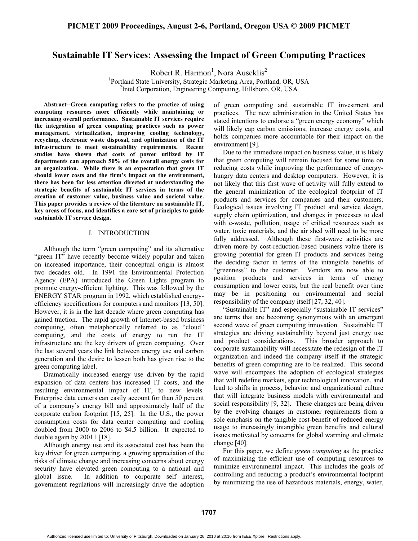# **Sustainable IT Services: Assessing the Impact of Green Computing Practices**

Robert R. Harmon<sup>1</sup>, Nora Auseklis<sup>2</sup>

<sup>1</sup>Portland State University, Strategic Marketing Area, Portland, OR, USA<br><sup>2</sup>Intel Corporation, Engineering Computing, Hillshere, OB, USA <sup>2</sup>Intel Corporation, Engineering Computing, Hillsboro, OR, USA

**Abstract--Green computing refers to the practice of using computing resources more efficiently while maintaining or increasing overall performance. Sustainable IT services require the integration of green computing practices such as power management, virtualization, improving cooling technology, recycling, electronic waste disposal, and optimization of the IT infrastructure to meet sustainability requirements. Recent studies have shown that costs of power utilized by IT departments can approach 50% of the overall energy costs for an organization. While there is an expectation that green IT should lower costs and the firm's impact on the environment, there has been far less attention directed at understanding the strategic benefits of sustainable IT services in terms of the creation of customer value, business value and societal value. This paper provides a review of the literature on sustainable IT, key areas of focus, and identifies a core set of principles to guide sustainable IT service design.** 

# I. INTRODUCTION

Although the term "green computing" and its alternative "green IT" have recently become widely popular and taken on increased importance, their conceptual origin is almost two decades old. In 1991 the Environmental Protection Agency (EPA) introduced the Green Lights program to promote energy-efficient lighting. This was followed by the ENERGY STAR program in 1992, which established energyefficiency specifications for computers and monitors [13, 50]. However, it is in the last decade where green computing has gained traction. The rapid growth of Internet-based business computing, often metaphorically referred to as "cloud" computing, and the costs of energy to run the IT infrastructure are the key drivers of green computing. Over the last several years the link between energy use and carbon generation and the desire to lessen both has given rise to the green computing label.

Dramatically increased energy use driven by the rapid expansion of data centers has increased IT costs, and the resulting environmental impact of IT, to new levels. Enterprise data centers can easily account for than 50 percent of a company's energy bill and approximately half of the corporate carbon footprint [15, 25]. In the U.S., the power consumption costs for data center computing and cooling doubled from 2000 to 2006 to \$4.5 billion. It expected to double again by 20011 [18].

Although energy use and its associated cost has been the key driver for green computing, a growing appreciation of the risks of climate change and increasing concerns about energy security have elevated green computing to a national and global issue. In addition to corporate self interest, government regulations will increasingly drive the adoption of green computing and sustainable IT investment and practices. The new administration in the United States has stated intentions to endorse a "green energy economy" which will likely cap carbon emissions; increase energy costs, and holds companies more accountable for their impact on the environment [9].

Due to the immediate impact on business value, it is likely that green computing will remain focused for some time on reducing costs while improving the performance of energyhungry data centers and desktop computers. However, it is not likely that this first wave of activity will fully extend to the general minimization of the ecological footprint of IT products and services for companies and their customers. Ecological issues involving IT product and service design, supply chain optimization, and changes in processes to deal with e-waste, pollution, usage of critical resources such as water, toxic materials, and the air shed will need to be more fully addressed. Although these first-wave activities are driven more by cost-reduction-based business value there is growing potential for green IT products and services being the deciding factor in terms of the intangible benefits of "greenness" to the customer. Vendors are now able to position products and services in terms of energy consumption and lower costs, but the real benefit over time may be in positioning on environmental and social responsibility of the company itself [27, 32, 40].

"Sustainable IT" and especially "sustainable IT services" are terms that are becoming synonymous with an emergent second wave of green computing innovation. Sustainable IT strategies are driving sustainability beyond just energy use and product considerations. This broader approach to corporate sustainability will necessitate the redesign of the IT organization and indeed the company itself if the strategic benefits of green computing are to be realized. This second wave will encompass the adoption of ecological strategies that will redefine markets, spur technological innovation, and lead to shifts in process, behavior and organizational culture that will integrate business models with environmental and social responsibility [9, 32]. These changes are being driven by the evolving changes in customer requirements from a sole emphasis on the tangible cost-benefit of reduced energy usage to increasingly intangible green benefits and cultural issues motivated by concerns for global warming and climate change [40].

For this paper, we define *green computing* as the practice of maximizing the efficient use of computing resources to minimize environmental impact. This includes the goals of controlling and reducing a product's environmental footprint by minimizing the use of hazardous materials, energy, water,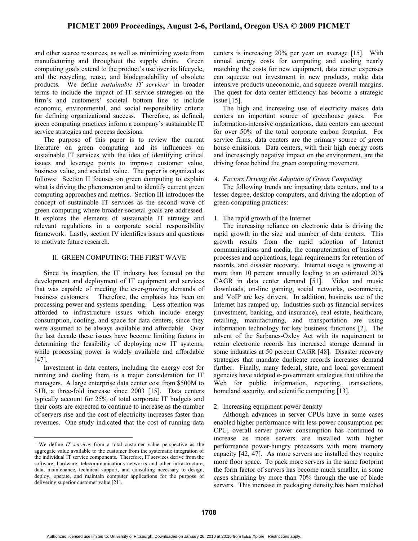# **PICMET 2009 Proceedings, August 2-6, Portland, Oregon USA © 2009 PICMET**

and other scarce resources, as well as minimizing waste from manufacturing and throughout the supply chain. Green computing goals extend to the product's use over its lifecycle, and the recycling, reuse, and biodegradability of obsolete products. We define *sustainable IT services*<sup>1</sup> in broader terms to include the impact of IT service strategies on the firm's and customers' societal bottom line to include economic, environmental, and social responsibility criteria for defining organizational success. Therefore, as defined, green computing practices inform a company's sustainable IT service strategies and process decisions.

The purpose of this paper is to review the current literature on green computing and its influences on sustainable IT services with the idea of identifying critical issues and leverage points to improve customer value, business value, and societal value. The paper is organized as follows: Section II focuses on green computing to explain what is driving the phenomenon and to identify current green computing approaches and metrics. Section III introduces the concept of sustainable IT services as the second wave of green computing where broader societal goals are addressed. It explores the elements of sustainable IT strategy and relevant regulations in a corporate social responsibility framework. Lastly, section IV identifies issues and questions to motivate future research.

### II. GREEN COMPUTING: THE FIRST WAVE

Since its inception, the IT industry has focused on the development and deployment of IT equipment and services that was capable of meeting the ever-growing demands of business customers. Therefore, the emphasis has been on processing power and systems spending. Less attention was afforded to infrastructure issues which include energy consumption, cooling, and space for data centers, since they were assumed to be always available and affordable. Over the last decade these issues have become limiting factors in determining the feasibility of deploying new IT systems, while processing power is widely available and affordable [47].

Investment in data centers, including the energy cost for running and cooling them, is a major consideration for IT managers. A large enterprise data center cost from \$500M to \$1B, a three-fold increase since 2003 [15]. Data centers typically account for 25% of total corporate IT budgets and their costs are expected to continue to increase as the number of servers rise and the cost of electricity increases faster than revenues. One study indicated that the cost of running data

 $\overline{a}$ 

centers is increasing 20% per year on average [15]. With annual energy costs for computing and cooling nearly matching the costs for new equipment, data center expenses can squeeze out investment in new products, make data intensive products uneconomic, and squeeze overall margins. The quest for data center efficiency has become a strategic issue [15].

The high and increasing use of electricity makes data centers an important source of greenhouse gases. For information-intensive organizations, data centers can account for over 50% of the total corporate carbon footprint. For service firms, data centers are the primary source of green house emissions. Data centers, with their high energy costs and increasingly negative impact on the environment, are the driving force behind the green computing movement.

#### *A. Factors Driving the Adoption of Green Computing*

The following trends are impacting data centers, and to a lesser degree, desktop computers, and driving the adoption of green-computing practices:

### 1. The rapid growth of the Internet

The increasing reliance on electronic data is driving the rapid growth in the size and number of data centers. This growth results from the rapid adoption of Internet communications and media, the computerization of business processes and applications, legal requirements for retention of records, and disaster recovery. Internet usage is growing at more than 10 percent annually leading to an estimated 20% CAGR in data center demand [51]. Video and music downloads, on-line gaming, social networks, e-commerce, and VoIP are key drivers. In addition, business use of the Internet has ramped up. Industries such as financial services (investment, banking, and insurance), real estate, healthcare, retailing, manufacturing, and transportation are using information technology for key business functions [2]. The advent of the Sarbanes-Oxley Act with its requirement to retain electronic records has increased storage demand in some industries at 50 percent CAGR [48]. Disaster recovery strategies that mandate duplicate records increases demand further. Finally, many federal, state, and local government agencies have adopted e-government strategies that utilize the Web for public information, reporting, transactions, homeland security, and scientific computing [13].

#### 2. Increasing equipment power density

Although advances in server CPUs have in some cases enabled higher performance with less power consumption per CPU, overall server power consumption has continued to increase as more servers are installed with higher performance power-hungry processors with more memory capacity [42, 47]. As more servers are installed they require more floor space. To pack more servers in the same footprint the form factor of servers has become much smaller, in some cases shrinking by more than 70% through the use of blade servers. This increase in packaging density has been matched

<sup>&</sup>lt;sup>1</sup> We define *IT services* from a total customer value perspective as the aggregate value available to the customer from the systematic integration of the individual IT service components. Therefore, IT services derive from the software, hardware, telecommunications networks and other infrastructure, data, maintenance, technical support, and consulting necessary to design, deploy, operate, and maintain computer applications for the purpose of delivering superior customer value [21].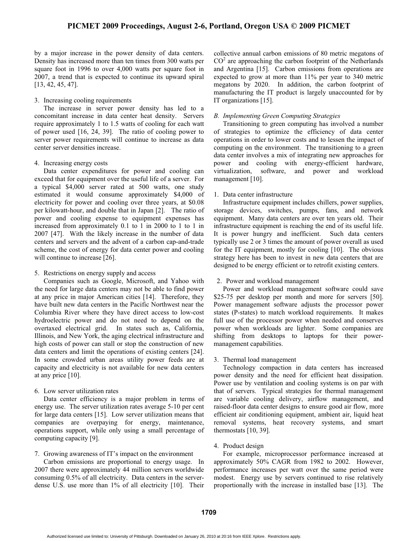by a major increase in the power density of data centers. Density has increased more than ten times from 300 watts per square foot in 1996 to over 4,000 watts per square foot in 2007, a trend that is expected to continue its upward spiral [13, 42, 45, 47].

### 3. Increasing cooling requirements

The increase in server power density has led to a concomitant increase in data center heat density. Servers require approximately 1 to 1.5 watts of cooling for each watt of power used [16, 24, 39]. The ratio of cooling power to server power requirements will continue to increase as data center server densities increase.

### 4. Increasing energy costs

Data center expenditures for power and cooling can exceed that for equipment over the useful life of a server. For a typical \$4,000 server rated at 500 watts, one study estimated it would consume approximately \$4,000 of electricity for power and cooling over three years, at \$0.08 per kilowatt-hour, and double that in Japan [2]. The ratio of power and cooling expense to equipment expenses has increased from approximately 0.1 to 1 in 2000 to 1 to 1 in 2007 [47]. With the likely increase in the number of data centers and servers and the advent of a carbon cap-and-trade scheme, the cost of energy for data center power and cooling will continue to increase [26].

### 5. Restrictions on energy supply and access

Companies such as Google, Microsoft, and Yahoo with the need for large data centers may not be able to find power at any price in major American cities [14]. Therefore, they have built new data centers in the Pacific Northwest near the Columbia River where they have direct access to low-cost hydroelectric power and do not need to depend on the overtaxed electrical grid. In states such as, California, Illinois, and New York, the aging electrical infrastructure and high costs of power can stall or stop the construction of new data centers and limit the operations of existing centers [24]. In some crowded urban areas utility power feeds are at capacity and electricity is not available for new data centers at any price [10].

### 6. Low server utilization rates

Data center efficiency is a major problem in terms of energy use. The server utilization rates average 5-10 per cent for large data centers [15]. Low server utilization means that companies are overpaying for energy, maintenance, operations support, while only using a small percentage of computing capacity [9].

### 7. Growing awareness of IT's impact on the environment

Carbon emissions are proportional to energy usage. In 2007 there were approximately 44 million servers worldwide consuming 0.5% of all electricity. Data centers in the serverdense U.S. use more than 1% of all electricity [10]. Their collective annual carbon emissions of 80 metric megatons of  $CO<sup>2</sup>$  are approaching the carbon footprint of the Netherlands and Argentina [15]. Carbon emissions from operations are expected to grow at more than 11% per year to 340 metric megatons by 2020. In addition, the carbon footprint of manufacturing the IT product is largely unaccounted for by IT organizations [15].

# *B. Implementing Green Computing Strategies*

Transitioning to green computing has involved a number of strategies to optimize the efficiency of data center operations in order to lower costs and to lessen the impact of computing on the environment. The transitioning to a green data center involves a mix of integrating new approaches for power and cooling with energy-efficient hardware, virtualization, software, and power and workload management [10].

### 1. Data center infrastructure

Infrastructure equipment includes chillers, power supplies, storage devices, switches, pumps, fans, and network equipment. Many data centers are over ten years old. Their infrastructure equipment is reaching the end of its useful life. It is power hungry and inefficient. Such data centers typically use 2 or 3 times the amount of power overall as used for the IT equipment, mostly for cooling [10]. The obvious strategy here has been to invest in new data centers that are designed to be energy efficient or to retrofit existing centers.

### 2. Power and workload management

Power and workload management software could save \$25-75 per desktop per month and more for servers [50]. Power management software adjusts the processor power states (P-states) to match workload requirements. It makes full use of the processor power when needed and conserves power when workloads are lighter. Some companies are shifting from desktops to laptops for their powermanagement capabilities.

### 3. Thermal load management

Technology compaction in data centers has increased power density and the need for efficient heat dissipation. Power use by ventilation and cooling systems is on par with that of servers. Typical strategies for thermal management are variable cooling delivery, airflow management, and raised-floor data center designs to ensure good air flow, more efficient air conditioning equipment, ambient air, liquid heat removal systems, heat recovery systems, and smart thermostats [10, 39].

### 4. Product design

For example, microprocessor performance increased at approximately 50% CAGR from 1982 to 2002. However, performance increases per watt over the same period were modest. Energy use by servers continued to rise relatively proportionally with the increase in installed base [13]. The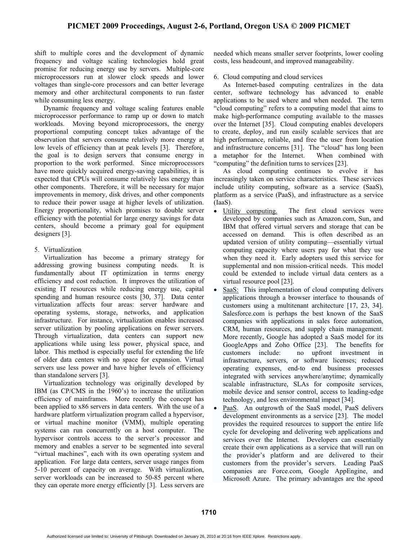shift to multiple cores and the development of dynamic frequency and voltage scaling technologies hold great promise for reducing energy use by servers. Multiple-core microprocessors run at slower clock speeds and lower voltages than single-core processors and can better leverage memory and other architectural components to run faster while consuming less energy.

Dynamic frequency and voltage scaling features enable microprocessor performance to ramp up or down to match workloads. Moving beyond microprocessors, the energy proportional computing concept takes advantage of the observation that servers consume relatively more energy at low levels of efficiency than at peak levels [3]. Therefore, the goal is to design servers that consume energy in proportion to the work performed. Since microprocessors have more quickly acquired energy-saving capabilities, it is expected that CPUs will consume relatively less energy than other components. Therefore, it will be necessary for major improvements in memory, disk drives, and other components to reduce their power usage at higher levels of utilization. Energy proportionality, which promises to double server efficiency with the potential for large energy savings for data centers, should become a primary goal for equipment designers [3].

# 5. Virtualization

Virtualization has become a primary strategy for addressing growing business computing needs. It is fundamentally about IT optimization in terms energy efficiency and cost reduction. It improves the utilization of existing IT resources while reducing energy use, capital spending and human resource costs [30, 37]. Data center virtualization affects four areas: server hardware and operating systems, storage, networks, and application infrastructure. For instance, virtualization enables increased server utilization by pooling applications on fewer servers. Through virtualization, data centers can support new applications while using less power, physical space, and labor. This method is especially useful for extending the life of older data centers with no space for expansion. Virtual servers use less power and have higher levels of efficiency than standalone servers [3].

Virtualization technology was originally developed by IBM (as CP/CMS in the 1960's) to increase the utilization efficiency of mainframes. More recently the concept has been applied to x86 servers in data centers. With the use of a hardware platform virtualization program called a hypervisor, or virtual machine monitor (VMM), multiple operating systems can run concurrently on a host computer. The hypervisor controls access to the server's processor and memory and enables a server to be segmented into several "virtual machines", each with its own operating system and application. For large data centers, server usage ranges from 5-10 percent of capacity on average. With virtualization, server workloads can be increased to 50-85 percent where they can operate more energy efficiently [3]. Less servers are

needed which means smaller server footprints, lower cooling costs, less headcount, and improved manageability.

# 6. Cloud computing and cloud services

As Internet-based computing centralizes in the data center, software technology has advanced to enable applications to be used where and when needed. The term "cloud computing" refers to a computing model that aims to make high-performance computing available to the masses over the Internet [35]. Cloud computing enables developers to create, deploy, and run easily scalable services that are high performance, reliable, and free the user from location and infrastructure concerns [31]. The "cloud" has long been a metaphor for the Internet. When combined with "computing" the definition turns to services [23].

As cloud computing continues to evolve it has increasingly taken on service characteristics. These services include utility computing, software as a service (SaaS), platform as a service (PaaS), and infrastructure as a service (IaaS).

- Utility computing. The first cloud services were developed by companies such as Amazon.com, Sun, and IBM that offered virtual servers and storage that can be accessed on demand. This is often described as an updated version of utility computing—essentially virtual computing capacity where users pay for what they use when they need it. Early adopters used this service for supplemental and non mission-critical needs. This model could be extended to include virtual data centers as a virtual resource pool [23].
- -SaaS: This implementation of cloud computing delivers applications through a browser interface to thousands of customers using a multitenant architecture [17, 23, 34]. Salesforce.com is perhaps the best known of the SaaS companies with applications in sales force automation, CRM, human resources, and supply chain management. More recently, Google has adopted a SaaS model for its GoogleApps and Zoho Office [23]. The benefits for customers include: no upfront investment in infrastructure, servers, or software licenses; reduced operating expenses, end-to end business processes integrated with services anywhere/anytime; dynamically scalable infrastructure, SLAs for composite services, mobile device and sensor control, access to leading-edge technology, and less environmental impact [34].
- $\bullet$  PaaS. An outgrowth of the SaaS model, PaaS delivers development environments as a service [23]. The model provides the required resources to support the entire life cycle for developing and delivering web applications and services over the Internet. Developers can essentially create their own applications as a service that will run on the provider's platform and are delivered to their customers from the provider's servers. Leading PaaS companies are Force.com, Google AppEngine, and Microsoft Azure. The primary advantages are the speed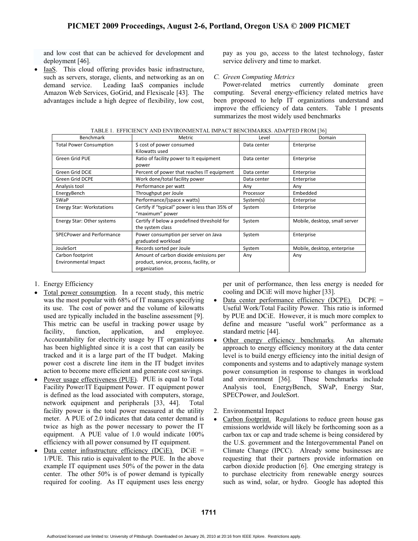and low cost that can be achieved for development and deployment [46].

 $\bullet$  IaaS. This cloud offering provides basic infrastructure, such as servers, storage, clients, and networking as an on demand service. Leading IaaS companies include Amazon Web Services, GoGrid, and Flexiscale [43]. The advantages include a high degree of flexibility, low cost,

pay as you go, access to the latest technology, faster service delivery and time to market.

# *C. Green Computing Metrics*

Power-related metrics currently dominate green computing. Several energy-efficiency related metrics have been proposed to help IT organizations understand and improve the efficiency of data centers. Table 1 presents summarizes the most widely used benchmarks

| TABLE 1. EFFICIENCY AND ENVIRONMENTAL IMPACT BENCHMARKS. ADAPTED FROM [36] |                                                |             |                               |  |
|----------------------------------------------------------------------------|------------------------------------------------|-------------|-------------------------------|--|
| <b>Benchmark</b>                                                           | Metric<br>Level                                |             | Domain                        |  |
| <b>Total Power Consumption</b>                                             | \$ cost of power consumed                      | Data center | Enterprise                    |  |
|                                                                            | Kilowatts used                                 |             |                               |  |
| Green Grid PUE                                                             | Ratio of facility power to It equipment        | Data center | Enterprise                    |  |
|                                                                            | power                                          |             |                               |  |
| Green Grid DCiE                                                            | Percent of power that reaches IT equipment     | Data center | Enterprise                    |  |
| <b>Green Grid DCPE</b>                                                     | Work done/total facility power                 | Data center | Enterprise                    |  |
| Analysis tool                                                              | Performance per watt                           | Any         | Any                           |  |
| EnergyBench                                                                | Throughput per Joule                           | Processor   | Embedded                      |  |
| SWaP                                                                       | Performance/(space x watts)                    | System(s)   | Enterprise                    |  |
| <b>Energy Star: Workstations</b>                                           | Certify if "typical" power is less than 35% of | System      | Enterprise                    |  |
|                                                                            | "maximum" power                                |             |                               |  |
| Energy Star: Other systems                                                 | Certify if below a predefined threshold for    | System      | Mobile, desktop, small server |  |
|                                                                            | the system class                               |             |                               |  |
| <b>SPECPower and Performance</b>                                           | Power consumption per server on Java           | System      | Enterprise                    |  |
|                                                                            | graduated workload                             |             |                               |  |
| JouleSort                                                                  | Records sorted per Joule                       | System      | Mobile, desktop, enterprise   |  |
| Carbon footprint                                                           | Amount of carbon dioxide emissions per         | Any         | Any                           |  |
| <b>Environmental Impact</b>                                                | product, service, process, facility, or        |             |                               |  |
|                                                                            | organization                                   |             |                               |  |

TABLE 1. EFFICIENCY AND ENVIRONMENTAL IMPACT BENCHMARKS. ADAPTED FROM [36]

- 1. Energy Efficiency
- - Total power consumption. In a recent study, this metric was the most popular with 68% of IT managers specifying its use. The cost of power and the volume of kilowatts used are typically included in the baseline assessment [9]. This metric can be useful in tracking power usage by facility, function, application, and employee. Accountability for electricity usage by IT organizations has been highlighted since it is a cost that can easily be tracked and it is a large part of the IT budget. Making power cost a discrete line item in the IT budget invites action to become more efficient and generate cost savings.
- -Power usage effectiveness (PUE). PUE is equal to Total Facility Power/IT Equipment Power. IT equipment power is defined as the load associated with computers, storage, network equipment and peripherals [33, 44]. Total facility power is the total power measured at the utility meter. A PUE of 2.0 indicates that data center demand is twice as high as the power necessary to power the IT equipment. A PUE value of 1.0 would indicate 100% efficiency with all power consumed by IT equipment.
- - Data center infrastructure efficiency (DCiE). DCiE = 1/PUE. This ratio is equivalent to the PUE. In the above example IT equipment uses 50% of the power in the data center. The other 50% is of power demand is typically required for cooling. As IT equipment uses less energy

per unit of performance, then less energy is needed for cooling and DCiE will move higher [33].

- $\bullet$ Data center performance efficiency (DCPE). DCPE = Useful Work/Total Facility Power. This ratio is informed by PUE and DCiE. However, it is much more complex to define and measure "useful work" performance as a standard metric [44].
- $\bullet$ Other energy efficiency benchmarks. An alternate approach to energy efficiency monitory at the data center level is to build energy efficiency into the initial design of components and systems and to adaptively manage system power consumption in response to changes in workload and environment [36]. These benchmarks include Analysis tool, EnergyBench, SWaP, Energy Star, SPECPower, and JouleSort.
- 2. Environmental Impact
- - Carbon footprint. Regulations to reduce green house gas emissions worldwide will likely be forthcoming soon as a carbon tax or cap and trade scheme is being considered by the U.S. government and the Intergovernmental Panel on Climate Change (IPCC). Already some businesses are requesting that their partners provide information on carbon dioxide production [6]. One emerging strategy is to purchase electricity from renewable energy sources such as wind, solar, or hydro. Google has adopted this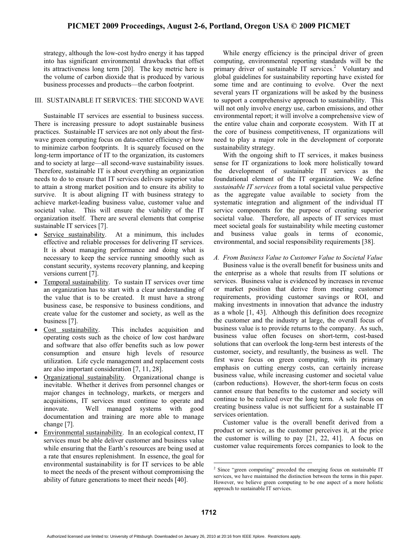strategy, although the low-cost hydro energy it has tapped into has significant environmental drawbacks that offset its attractiveness long term [20]. The key metric here is the volume of carbon dioxide that is produced by various business processes and products—the carbon footprint.

### III. SUSTAINABLE IT SERVICES: THE SECOND WAVE

Sustainable IT services are essential to business success. There is increasing pressure to adopt sustainable business practices. Sustainable IT services are not only about the firstwave green computing focus on data-center efficiency or how to minimize carbon footprints. It is squarely focused on the long-term importance of IT to the organization, its customers and to society at large—all second-wave sustainability issues. Therefore, sustainable IT is about everything an organization needs to do to ensure that IT services delivers superior value to attain a strong market position and to ensure its ability to survive. It is about aligning IT with business strategy to achieve market-leading business value, customer value and societal value. This will ensure the viability of the IT organization itself. There are several elements that comprise sustainable IT services [7].

- $\bullet$  Service sustainability. At a minimum, this includes effective and reliable processes for delivering IT services. It is about managing performance and doing what is necessary to keep the service running smoothly such as constant security, systems recovery planning, and keeping versions current [7].
- - Temporal sustainability. To sustain IT services over time an organization has to start with a clear understanding of the value that is to be created. It must have a strong business case, be responsive to business conditions, and create value for the customer and society, as well as the business [7].
- - Cost sustainability. This includes acquisition and operating costs such as the choice of low cost hardware and software that also offer benefits such as low power consumption and ensure high levels of resource utilization. Life cycle management and replacement costs are also important consideration [7, 11, 28].
- - Organizational sustainability. Organizational change is inevitable. Whether it derives from personnel changes or major changes in technology, markets, or mergers and acquisitions, IT services must continue to operate and innovate. Well managed systems with good documentation and training are more able to manage change [7].
- - Environmental sustainability. In an ecological context, IT services must be able deliver customer and business value while ensuring that the Earth's resources are being used at a rate that ensures replenishment. In essence, the goal for environmental sustainability is for IT services to be able to meet the needs of the present without compromising the ability of future generations to meet their needs [40].

While energy efficiency is the principal driver of green computing, environmental reporting standards will be the primary driver of sustainable IT services.<sup>2</sup> Voluntary and global guidelines for sustainability reporting have existed for some time and are continuing to evolve. Over the next several years IT organizations will be asked by the business to support a comprehensive approach to sustainability. This will not only involve energy use, carbon emissions, and other environmental report; it will involve a comprehensive view of the entire value chain and corporate ecosystem. With IT at the core of business competitiveness, IT organizations will need to play a major role in the development of corporate sustainability strategy.

With the ongoing shift to IT services, it makes business sense for IT organizations to look more holistically toward the development of sustainable IT services as the foundational element of the IT organization. We define *sustainable IT services* from a total societal value perspective as the aggregate value available to society from the systematic integration and alignment of the individual IT service components for the purpose of creating superior societal value. Therefore, all aspects of IT services must meet societal goals for sustainability while meeting customer and business value goals in terms of economic, environmental, and social responsibility requirements [38].

# *A. From Business Value to Customer Value to Societal Value*

Business value is the overall benefit for business units and the enterprise as a whole that results from IT solutions or services. Business value is evidenced by increases in revenue or market position that derive from meeting customer requirements, providing customer savings or ROI, and making investments in innovation that advance the industry as a whole [1, 43]. Although this definition does recognize the customer and the industry at large, the overall focus of business value is to provide returns to the company. As such, business value often focuses on short-term, cost-based solutions that can overlook the long-term best interests of the customer, society, and resultantly, the business as well. The first wave focus on green computing, with its primary emphasis on cutting energy costs, can certainly increase business value, while increasing customer and societal value (carbon reductions). However, the short-term focus on costs cannot ensure that benefits to the customer and society will continue to be realized over the long term. A sole focus on creating business value is not sufficient for a sustainable IT services orientation.

Customer value is the overall benefit derived from a product or service, as the customer perceives it, at the price the customer is willing to pay [21, 22, 41]. A focus on customer value requirements forces companies to look to the

 2 Since "green computing" preceded the emerging focus on sustainable IT services, we have maintained the distinction between the terms in this paper. However, we believe green computing to be one aspect of a more holistic approach to sustainable IT services.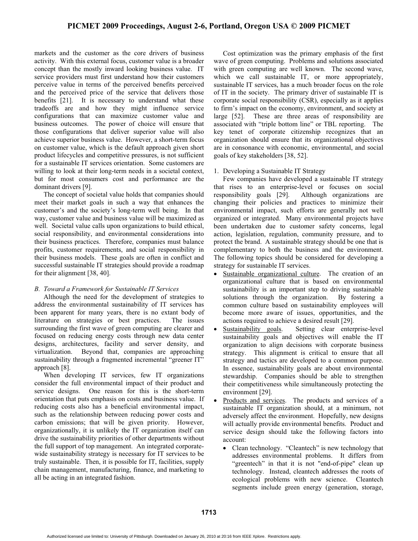# **PICMET 2009 Proceedings, August 2-6, Portland, Oregon USA © 2009 PICMET**

markets and the customer as the core drivers of business activity. With this external focus, customer value is a broader concept than the mostly inward looking business value. IT service providers must first understand how their customers perceive value in terms of the perceived benefits perceived and the perceived price of the service that delivers those benefits [21]. It is necessary to understand what these tradeoffs are and how they might influence service configurations that can maximize customer value and business outcomes. The power of choice will ensure that those configurations that deliver superior value will also achieve superior business value. However, a short-term focus on customer value, which is the default approach given short product lifecycles and competitive pressures, is not sufficient for a sustainable IT services orientation. Some customers are willing to look at their long-term needs in a societal context, but for most consumers cost and performance are the dominant drivers [9].

The concept of societal value holds that companies should meet their market goals in such a way that enhances the customer's and the society's long-term well being. In that way, customer value and business value will be maximized as well. Societal value calls upon organizations to build ethical, social responsibility, and environmental considerations into their business practices. Therefore, companies must balance profits, customer requirements, and social responsibility in their business models. These goals are often in conflict and successful sustainable IT strategies should provide a roadmap for their alignment [38, 40].

# *B. Toward a Framework for Sustainable IT Services*

Although the need for the development of strategies to address the environmental sustainability of IT services has been apparent for many years, there is no extant body of literature on strategies or best practices. The issues surrounding the first wave of green computing are clearer and focused on reducing energy costs through new data center designs, architectures, facility and server density, and virtualization. Beyond that, companies are approaching sustainability through a fragmented incremental "greener IT" approach [8].

When developing IT services, few IT organizations consider the full environmental impact of their product and service designs. One reason for this is the short-term orientation that puts emphasis on costs and business value. If reducing costs also has a beneficial environmental impact, such as the relationship between reducing power costs and carbon emissions; that will be given priority. However, organizationally, it is unlikely the IT organization itself can drive the sustainability priorities of other departments without the full support of top management. An integrated corporatewide sustainability strategy is necessary for IT services to be truly sustainable. Then, it is possible for IT, facilities, supply chain management, manufacturing, finance, and marketing to all be acting in an integrated fashion.

Cost optimization was the primary emphasis of the first wave of green computing. Problems and solutions associated with green computing are well known. The second wave, which we call sustainable IT, or more appropriately, sustainable IT services, has a much broader focus on the role of IT in the society. The primary driver of sustainable IT is corporate social responsibility (CSR), especially as it applies to firm's impact on the economy, environment, and society at large [52]. These are three areas of responsibility are associated with "triple bottom line" or TBL reporting. The key tenet of corporate citizenship recognizes that an organization should ensure that its organizational objectives are in consonance with economic, environmental, and social goals of key stakeholders [38, 52].

### 1. Developing a Sustainable IT Strategy

Few companies have developed a sustainable IT strategy that rises to an enterprise-level or focuses on social responsibility goals [29]. Although organizations are changing their policies and practices to minimize their environmental impact, such efforts are generally not well organized or integrated. Many environmental projects have been undertaken due to customer safety concerns, legal action, legislation, regulation, community pressure, and to protect the brand. A sustainable strategy should be one that is complementary to both the business and the environment. The following topics should be considered for developing a strategy for sustainable IT services.

- - Sustainable organizational culture. The creation of an organizational culture that is based on environmental sustainability is an important step to driving sustainable solutions through the organization. By fostering a common culture based on sustainability employees will become more aware of issues, opportunities, and the actions required to achieve a desired result [29].
- $\bullet$  Sustainability goals. Setting clear enterprise-level sustainability goals and objectives will enable the IT organization to align decisions with corporate business strategy. This alignment is critical to ensure that all strategy and tactics are developed to a common purpose. In essence, sustainability goals are about environmental stewardship. Companies should be able to strengthen their competitiveness while simultaneously protecting the environment [29].
- $\bullet$  Products and services. The products and services of a sustainable IT organization should, at a minimum, not adversely affect the environment. Hopefully, new designs will actually provide environmental benefits. Product and service design should take the following factors into account:
	- $\bullet$  Clean technology. "Cleantech" is new technology that addresses environmental problems. It differs from "greentech" in that it is not "end-of-pipe" clean up technology. Instead, cleantech addresses the roots of ecological problems with new science. Cleantech segments include green energy (generation, storage,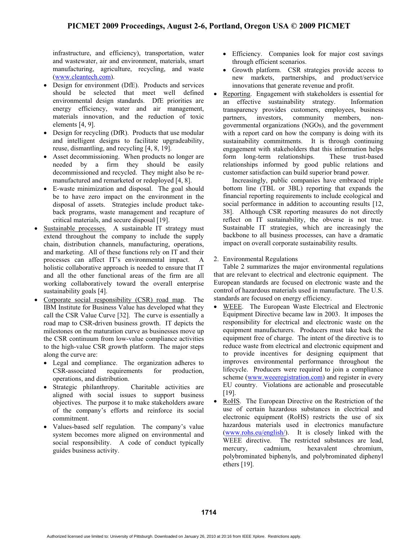infrastructure, and efficiency), transportation, water and wastewater, air and environment, materials, smart manufacturing, agriculture, recycling, and waste (www.cleantech.com).

- - Design for environment (DfE). Products and services should be selected that meet well defined environmental design standards. DfE priorities are energy efficiency, water and air management, materials innovation, and the reduction of toxic elements [4, 9].
- Design for recycling (DfR). Products that use modular and intelligent designs to facilitate upgradeability, reuse, dismantling, and recycling [4, 8, 19].
- Asset decommissioning. When products no longer are needed by a firm they should be easily decommissioned and recycled. They might also be remanufactured and remarketed or redeployed [4, 8].
- E-waste minimization and disposal. The goal should be to have zero impact on the environment in the disposal of assets. Strategies include product takeback programs, waste management and recapture of critical materials, and secure disposal [19].
- · Sustainable processes. A sustainable IT strategy must extend throughout the company to include the supply chain, distribution channels, manufacturing, operations, and marketing. All of these functions rely on IT and their processes can affect IT's environmental impact. A holistic collaborative approach is needed to ensure that IT and all the other functional areas of the firm are all working collaboratively toward the overall enterprise sustainability goals [4].
- - Corporate social responsibility (CSR) road map. The IBM Institute for Business Value has developed what they call the CSR Value Curve [32]. The curve is essentially a road map to CSR-driven business growth. IT depicts the milestones on the maturation curve as businesses move up the CSR continuum from low-value compliance activities to the high-value CSR growth platform. The major steps along the curve are:
	- Legal and compliance. The organization adheres to CSR-associated requirements for production, operations, and distribution.
	- Strategic philanthropy. Charitable activities are aligned with social issues to support business objectives. The purpose it to make stakeholders aware of the company's efforts and reinforce its social commitment.
	- - Values-based self regulation. The company's value system becomes more aligned on environmental and social responsibility. A code of conduct typically guides business activity.
- Efficiency. Companies look for major cost savings through efficient scenarios.
- - Growth platform. CSR strategies provide access to new markets, partnerships, and product/service innovations that generate revenue and profit.
- $\bullet$  Reporting. Engagement with stakeholders is essential for an effective sustainability strategy. Information transparency provides customers, employees, business partners, investors, community members, nongovernmental organizations (NGOs), and the government with a report card on how the company is doing with its sustainability commitments. It is through continuing engagement with stakeholders that this information helps form long-term relationships. These trust-based relationships informed by good public relations and customer satisfaction can build superior brand power.

Increasingly, public companies have embraced triple bottom line (TBL or 3BL) reporting that expands the financial reporting requirements to include ecological and social performance in addition to accounting results [12, 38]. Although CSR reporting measures do not directly reflect on IT sustainability, the obverse is not true. Sustainable IT strategies, which are increasingly the backbone to all business processes, can have a dramatic impact on overall corporate sustainability results.

2. Environmental Regulations

Table 2 summarizes the major environmental regulations that are relevant to electrical and electronic equipment. The European standards are focused on electronic waste and the control of hazardous materials used in manufacture. The U.S. standards are focused on energy efficiency.

- $\bullet$  WEEE. The European Waste Electrical and Electronic Equipment Directive became law in 2003. It imposes the responsibility for electrical and electronic waste on the equipment manufacturers. Producers must take back the equipment free of charge. The intent of the directive is to reduce waste from electrical and electronic equipment and to provide incentives for designing equipment that improves environmental performance throughout the lifecycle. Producers were required to join a compliance scheme (www.weeeregistration.com) and register in every EU country. Violations are actionable and prosecutable [19].
- - RoHS. The European Directive on the Restriction of the use of certain hazardous substances in electrical and electronic equipment (RoHS) restricts the use of six hazardous materials used in electronics manufacture (www.rohs.eu/english/). It is closely linked with the WEEE directive. The restricted substances are lead, mercury, cadmium, hexavalent chromium, polybrominated biphenyls, and polybrominated diphenyl ethers [19].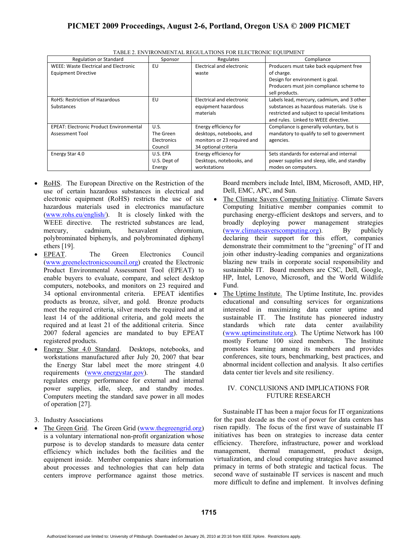| <b>Regulation or Standard</b>                  | Sponsor      | Regulates                   | Compliance                                    |
|------------------------------------------------|--------------|-----------------------------|-----------------------------------------------|
| <b>WEEE: Waste Electrical and Electronic</b>   | EU           | Electrical and electronic   | Producers must take back equipment free       |
| <b>Equipment Directive</b>                     |              | waste                       | of charge.                                    |
|                                                |              |                             | Design for environment is goal.               |
|                                                |              |                             | Producers must join compliance scheme to      |
|                                                |              |                             | sell products.                                |
| <b>RoHS: Restriction of Hazardous</b>          | EU           | Electrical and electronic   | Labels lead, mercury, cadmium, and 3 other    |
| <b>Substances</b>                              |              | equipment hazardous         | substances as hazardous materials. Use is     |
|                                                |              | materials                   | restricted and subject to special limitations |
|                                                |              |                             | and rules. Linked to WEEE directive.          |
| <b>EPEAT: Electronic Product Environmental</b> | U.S.         | Energy efficiency for       | Compliance is generally voluntary, but is     |
| <b>Assessment Tool</b>                         | The Green    | desktops, notebooks, and    | mandatory to qualify to sell to government    |
|                                                | Electronics  | monitors or 23 required and | agencies.                                     |
|                                                | Council      | 34 optional criteria        |                                               |
| Energy Star 4.0                                | U.S. EPA     | Energy efficiency for       | Sets standards for external and internal      |
|                                                | U.S. Dept of | Desktops, notebooks, and    | power supplies and sleep, idle, and standby   |
|                                                | Energy       | workstations                | modes on computers.                           |

TABLE 2. ENVIRONMENTAL REGULATIONS FOR ELECTRONIC EQUIPMENT

- RoHS. The European Directive on the Restriction of the use of certain hazardous substances in electrical and electronic equipment (RoHS) restricts the use of six hazardous materials used in electronics manufacture (www.rohs.eu/english/). It is closely linked with the WEEE directive. The restricted substances are lead, mercury, cadmium, hexavalent chromium, polybrominated biphenyls, and polybrominated diphenyl ethers [19].
- - EPEAT. The Green Electronics Council (www.greenelectronicscouncil.org) created the Electronic Product Environmental Assessment Tool (EPEAT) to enable buyers to evaluate, compare, and select desktop computers, notebooks, and monitors on 23 required and 34 optional environmental criteria. EPEAT identifies products as bronze, silver, and gold. Bronze products meet the required criteria, silver meets the required and at least 14 of the additional criteria, and gold meets the required and at least 21 of the additional criteria. Since 2007 federal agencies are mandated to buy EPEAT registered products.
- - Energy Star 4.0 Standard. Desktops, notebooks, and workstations manufactured after July 20, 2007 that bear the Energy Star label meet the more stringent 4.0 requirements (www.energystar.gov). The standard regulates energy performance for external and internal power supplies, idle, sleep, and standby modes. Computers meeting the standard save power in all modes of operation [27].
- 3. Industry Associations
- The Green Grid. The Green Grid (www.thegreengrid.org) is a voluntary international non-profit organization whose purpose is to develop standards to measure data center efficiency which includes both the facilities and the equipment inside. Member companies share information about processes and technologies that can help data centers improve performance against those metrics.

Board members include Intel, IBM, Microsoft, AMD, HP, Dell, EMC, APC, and Sun.

- $\bullet$  The Climate Savers Computing Initiative. Climate Savers Computing Initiative member companies commit to purchasing energy-efficient desktops and servers, and to broadly deploying power management strategies (www.climatesaverscomputing.org). By publicly declaring their support for this effort, companies demonstrate their commitment to the "greening" of IT and join other industry-leading companies and organizations blazing new trails in corporate social responsibility and sustainable IT. Board members are CSC, Dell, Google, HP, Intel, Lenovo, Microsoft, and the World Wildlife Fund.
- - The Uptime Institute. The Uptime Institute, Inc. provides educational and consulting services for organizations interested in maximizing data center uptime and sustainable IT. The Institute has pioneered industry standards which rate data center availability (www.uptimeinstitute.org). The Uptime Network has 100 mostly Fortune 100 sized members. The Institute promotes learning among its members and provides conferences, site tours, benchmarking, best practices, and abnormal incident collection and analysis. It also certifies data center tier levels and site resiliency.

# IV. CONCLUSIONS AND IMPLICATIONS FOR FUTURE RESEARCH

Sustainable IT has been a major focus for IT organizations for the past decade as the cost of power for data centers has risen rapidly. The focus of the first wave of sustainable IT initiatives has been on strategies to increase data center efficiency. Therefore, infrastructure, power and workload management, thermal management, product design, virtualization, and cloud computing strategies have assumed primacy in terms of both strategic and tactical focus. The second wave of sustainable IT services is nascent and much more difficult to define and implement. It involves defining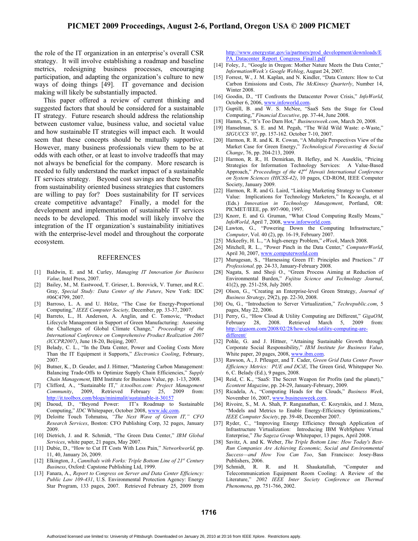the role of the IT organization in an enterprise's overall CSR strategy. It will involve establishing a roadmap and baseline metrics, redesigning business processes, encouraging participation, and adapting the organization's culture to new ways of doing things [49]. IT governance and decision making will likely be substantially impacted.

This paper offered a review of current thinking and suggested factors that should be considered for a sustainable IT strategy. Future research should address the relationship between customer value, business value, and societal value and how sustainable IT strategies will impact each. It would seem that these concepts should be mutually supportive. However, many business professionals view them to be at odds with each other, or at least to involve tradeoffs that may not always be beneficial for the company. More research is needed to fully understand the market impact of a sustainable IT services strategy. Beyond cost savings are there benefits from sustainability oriented business strategies that customers are willing to pay for? Does sustainability for IT services create competitive advantage? Finally, a model for the development and implementation of sustainable IT services needs to be developed. This model will likely involve the integration of the IT organization's sustainability initiatives with the enterprise-level model and throughout the corporate ecosystem.

#### REFERENCES

- [1] Baldwin, E. and M. Curley, *Managing IT Innovation for Business Value*, Intel Press, 2007.
- [2] Bailey, M., M. Eastwood, T. Grieser, L. Borovick, V. Turner, and R.C. Gray, *Special Study: Data Center of the Future*, New York: IDC #06C4799, 2007.
- [3] Barroso, L. A. and U. Hölze, "The Case for Energy-Proportional Computing," *IEEE Computer Society,* December, pp. 33-37, 2007.
- [4] Barreto, L., H. Anderson, A. Anglin, and C. Tomovic, "Product Lifecycle Management in Support of Green Manufacturing: Assessing the Challenges of Global Climate Change," *Proceedings of the International Conference on Comprehensive Product Realization 2007 (ICCPR2007)*, June 18-20, Beijing, 2007.
- [5] Belady, C. L., "In the Data Center, Power and Cooling Costs More Than the IT Equipment it Supports," *Electronics Cooling*, February, 2007.
- [6] Butner, K., D. Geuder, and J. Hittner, "Mastering Carbon Management: Balancing Trade-Offs to Optimize Supply Chain Efficiencies," *Supply Chain Management*, IBM Institute for Business Value, pp. 1-13, 2008.
- [7] Clifford, A., "Sustainable IT," *it.toolbox.com: Project Management Community*, 2009, Retrieved February 25, 2009 from: http://it.toolbox.com/blogs/minimalit/sustainable-it-30157
- [8] Daoud, D., "Beyond Power: IT's Roadmap to Sustainable Computing," *IDC* Whitepaper, October 2008, www.idc.com.
- [9] Deloitte Touch Tohmatsu, "The Next Wave of Green IT," CFO *Research Services*, Boston: CFO Publishing Corp, 32 pages, January 2009.
- [10] Dietrich, J. and R. Schmidt, "The Green Data Center," *IBM Global Services*, white paper, 21 pages, May 2007.
- [11] Dubie, D., "How to Cut IT Costs With Less Pain," *Networkworld*, pp. 11, 40, January 26, 2009.
- [12] Elkington, J., *Cannibals with Forks: Triple Bottom Line of 21st Century Business*, Oxford: Capstone Publishing Ltd, 1999.
- [13] Fanara, A., *Report to Congress on Server and Data Center Efficiency: Public Law 109-431*, U.S. Environmental Protection Agency: Energy Star Program, 133 pages, 2007. Retrieved February 25, 2009 from

http://www.energystar.gov/ia/partners/prod\_development/downloads/E PA\_Datacenter\_Report\_Congress\_Final1.pdf

- [14] Foley, J., "Google in Oregon: Mother Nature Meets the Data Center," *InformationWeek's Google Weblog*, August 24, 2007.
- [15] Forrest, W., J. M. Kaplan, and N. Kindler, "Data Centers: How to Cut Carbon Emissions and Costs, *The McKinsey Quarterly*, Number 14, Winter 2008.
- [16] Goodin, D., "IT Confronts the Datacenter Power Crisis," *InfoWorld*, October 6, 2006, www.infoworld.com.
- [17] Guptill, B. and W. S. McNee, "SaaS Sets the Stage for Cloud Computing," *Financial Executive*, pp. 37-44, June 2008.
- [18] Hamm, S., "It's Too Darn Hot," *Businessweek.com*, March 20, 2008.
- [19] Hanselman, S. E. and M. Pegah, "The Wild Wild Waste: e-Waste," *SIGUCCS '07*, pp. 157-162. October 7-10, 2007.
- [20] Harmon, R. R. and K. R. Cowan, "A Multiple Perspectives View of the Market Case for Green Energy," *Technological Forecasting & Social Change*, 76, pp. 204-213, 2009.
- [21] Harmon, R. R., H. Demirkan, B. Hefley, and N. Auseklis, "Pricing Strategies for Information Technology Services: A Value-Based Approach," *Proceedings of the 42nd Hawaii International Conference on System Sciences (HICSS-42)*, 10 pages, CD-ROM, IEEE Computer Society, January 2009.
- [22] Harmon, R. R. and G. Laird, "Linking Marketing Strategy to Customer Value: Implications for Technology Marketers," In Kocaoglu, et al (Eds.) *Innovation in Technology Management*, Portland, OR: PICMET/IEEE, pp. 897-900, 1997.
- [23] Knorr, E. and G. Gruman, "What Cloud Computing Really Means," *InfoWorld*, April 7, 2008, www.inforworld.com.
- [24] Lawton, G., "Powering Down the Computing Infrastructure," *Computer*, Vol. 40 (2), pp. 16-19, February 2007.
- [25] Mckeefry, H. L., "A high-energy Problem," *eWeek*, March 2008.
- [26] Mitchell, R. L., "Power Pinch in the Data Center," *ComputerWorld*, April 30, 2007, www.computerworld.com
- [27] Murugesan, S., "Harnessing Green IT: Principles and Practices." *IT Professional,* pp. 24-33, January-February 2008.
- [28] Nagata, S. and Shoji O., "Green Process Aiming at Reduction of Environmental Burden," *Fujitsu Science and Technology Journal*, 41(2), pp. 251-258, July 2005.
- [29] Olson, G., "Creating an Enterprise-level Green Strategy, *Journal of Business Strategy*, 29(2), pp. 22-30, 2008.
- [30] Ou, G., "Introduction to Server Virtualization," *Techrepublic.com*, 5 pages, May 22, 2006.
- [31] Perry, G., "How Cloud & Utility Computing are Different," *GigaOM*, February 28, 2008. Retrieved March 5, 2009 from: http://gigaom.com/2008/02/28/how-cloud-utility-computing-aredifferent/
- [32] Pohle, G. and J. Hittner, "Attaining Sustainable Growth through Corporate Social Responsibility," *IBM Institute for Business Value*, White paper, 20 pages, 2008, www.ibm.com.
- [33] Rawson, A., J. Pfleuger, and T. Cader, *Green Grid Data Center Power Efficiency Metrics: PUE and DCiE*, The Green Grid, Whitepaper No. 6, C. Belady (Ed.), 9 pages, 2008.
- [34] Reid, C. K., "SaaS: The Secret Weapon for Profits (and the planet)," *Econtent Magazine*, pp. 24-29, January-February, 2009.
- [35] Ricadela, A., "Computing Heads for the Clouds," *Business Week*, November 16, 2007, www.businessweek.com.
- [36] Rivoire, S., M. A. Shah, P. Ranganathan, C. Kozyrakis, and J. Meza, "Models and Metrics to Enable Energy-Efficiency Optimizations," *IEEE Computer Society*, pp. 39-48, December 2007.
- [37] Ryder, C., "Improving Energy Efficiency through Application of Infrastructure Virtualization: Introducing IBM WebSphere Virtual Enterprise," *The Sageza Group* Whitepaper, 13 pages, April 2008.
- [38] Savitz, A. and K. Weber, *The Triple Bottom Line: How Today's Best-Run Companies Are Achieving Economic, Social and Environmental Success—and How You Can Too*, San Francisco: Josey-Bass Publishers, 2006.
- [39] Schmidt, R. R. and H. Shaukatallah, "Computer and Telecommunication Equipment Room Cooling: A Review of the Literature," *2002 IEEE Inter Society Conference on Thermal Phenomena*, pp. 751-766, 2002.

**1716**